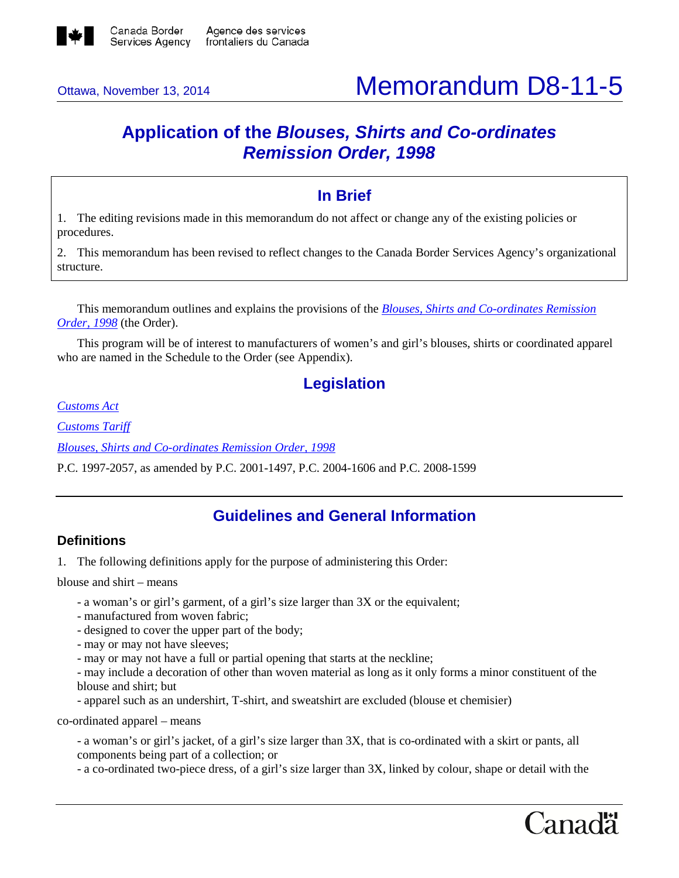

# Ottawa, November 13, 2014 **Memorandum D8-11-5**

# **Application of the** *Blouses, Shirts and Co-ordinates Remission Order, 1998*

# **In Brief**

1. The editing revisions made in this memorandum do not affect or change any of the existing policies or procedures.

2. This memorandum has been revised to reflect changes to the Canada Border Services Agency's organizational structure.

This memorandum outlines and explains the provisions of the *[Blouses, Shirts and Co-ordinates Remission](http://laws-lois.justice.gc.ca/eng/regulations/SOR-98-89/FullText.html)  [Order, 1998](http://laws-lois.justice.gc.ca/eng/regulations/SOR-98-89/FullText.html)* (the Order).

This program will be of interest to manufacturers of women's and girl's blouses, shirts or coordinated apparel who are named in the Schedule to the Order (see Appendix).

# **Legislation**

*[Customs Act](http://laws-lois.justice.gc.ca/eng/acts/C-52.6/FullText.html)*

*[Customs Tariff](http://www.cbsa-asfc.gc.ca/trade-commerce/tariff-tarif/)*

*[Blouses, Shirts and Co-ordinates Remission Order, 1998](http://laws-lois.justice.gc.ca/eng/regulations/SOR-98-89/FullText.html)*

P.C. 1997-2057, as amended by P.C. 2001-1497, P.C. 2004-1606 and P.C. 2008-1599

# **Guidelines and General Information**

# **Definitions**

1. The following definitions apply for the purpose of administering this Order:

blouse and shirt – means

- a woman's or girl's garment, of a girl's size larger than 3X or the equivalent;
- manufactured from woven fabric;
- designed to cover the upper part of the body;
- may or may not have sleeves;
- may or may not have a full or partial opening that starts at the neckline;

- may include a decoration of other than woven material as long as it only forms a minor constituent of the blouse and shirt; but

- apparel such as an undershirt, T-shirt, and sweatshirt are excluded (blouse et chemisier)

co-ordinated apparel – means

- a woman's or girl's jacket, of a girl's size larger than 3X, that is co-ordinated with a skirt or pants, all components being part of a collection; or

- a co-ordinated two-piece dress, of a girl's size larger than 3X, linked by colour, shape or detail with the

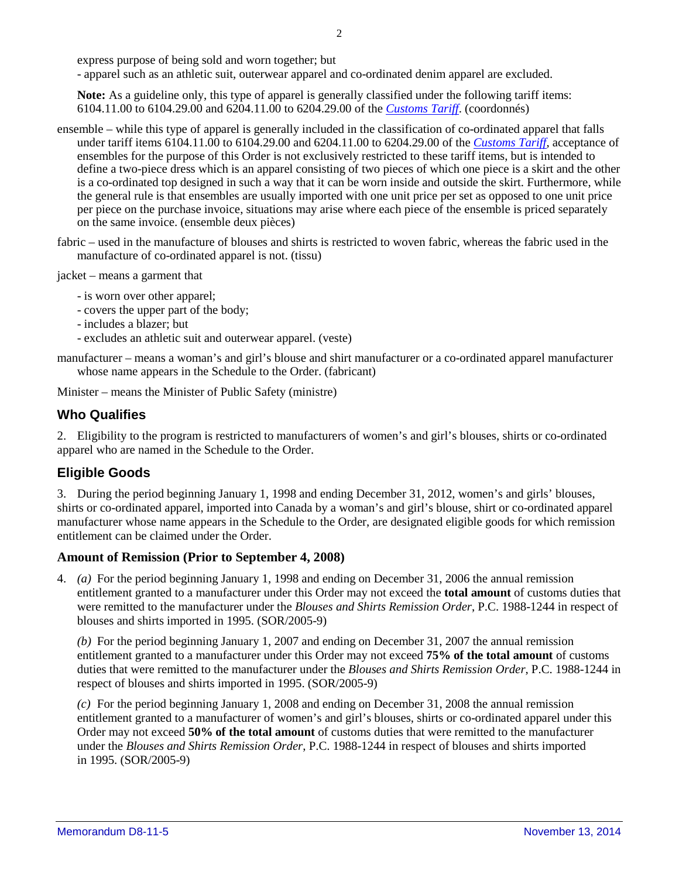express purpose of being sold and worn together; but

- apparel such as an athletic suit, outerwear apparel and co-ordinated denim apparel are excluded.

**Note:** As a guideline only, this type of apparel is generally classified under the following tariff items: 6104.11.00 to 6104.29.00 and 6204.11.00 to 6204.29.00 of the *[Customs Tariff](http://www.cbsa-asfc.gc.ca/trade-commerce/tariff-tarif/)*. (coordonnés)

- ensemble while this type of apparel is generally included in the classification of co-ordinated apparel that falls under tariff items 6104.11.00 to 6104.29.00 and 6204.11.00 to 6204.29.00 of the *[Customs Tariff](http://www.cbsa-asfc.gc.ca/trade-commerce/tariff-tarif/)*, acceptance of ensembles for the purpose of this Order is not exclusively restricted to these tariff items, but is intended to define a two-piece dress which is an apparel consisting of two pieces of which one piece is a skirt and the other is a co-ordinated top designed in such a way that it can be worn inside and outside the skirt. Furthermore, while the general rule is that ensembles are usually imported with one unit price per set as opposed to one unit price per piece on the purchase invoice, situations may arise where each piece of the ensemble is priced separately on the same invoice. (ensemble deux pièces)
- fabric used in the manufacture of blouses and shirts is restricted to woven fabric, whereas the fabric used in the manufacture of co-ordinated apparel is not. (tissu)

jacket – means a garment that

- is worn over other apparel;
- covers the upper part of the body;
- includes a blazer; but
- excludes an athletic suit and outerwear apparel. (veste)

manufacturer – means a woman's and girl's blouse and shirt manufacturer or a co-ordinated apparel manufacturer whose name appears in the Schedule to the Order. (fabricant)

Minister – means the Minister of Public Safety (ministre)

# **Who Qualifies**

2. Eligibility to the program is restricted to manufacturers of women's and girl's blouses, shirts or co-ordinated apparel who are named in the Schedule to the Order.

# **Eligible Goods**

3. During the period beginning January 1, 1998 and ending December 31, 2012, women's and girls' blouses, shirts or co-ordinated apparel, imported into Canada by a woman's and girl's blouse, shirt or co-ordinated apparel manufacturer whose name appears in the Schedule to the Order, are designated eligible goods for which remission entitlement can be claimed under the Order.

#### **Amount of Remission (Prior to September 4, 2008)**

4. *(a)* For the period beginning January 1, 1998 and ending on December 31, 2006 the annual remission entitlement granted to a manufacturer under this Order may not exceed the **total amount** of customs duties that were remitted to the manufacturer under the *Blouses and Shirts Remission Order*, P.C. 1988-1244 in respect of blouses and shirts imported in 1995. (SOR/2005-9)

*(b)* For the period beginning January 1, 2007 and ending on December 31, 2007 the annual remission entitlement granted to a manufacturer under this Order may not exceed **75% of the total amount** of customs duties that were remitted to the manufacturer under the *Blouses and Shirts Remission Order*, P.C. 1988-1244 in respect of blouses and shirts imported in 1995. (SOR/2005-9)

*(c)* For the period beginning January 1, 2008 and ending on December 31, 2008 the annual remission entitlement granted to a manufacturer of women's and girl's blouses, shirts or co-ordinated apparel under this Order may not exceed **50% of the total amount** of customs duties that were remitted to the manufacturer under the *Blouses and Shirts Remission Order*, P.C. 1988-1244 in respect of blouses and shirts imported in 1995. (SOR/2005-9)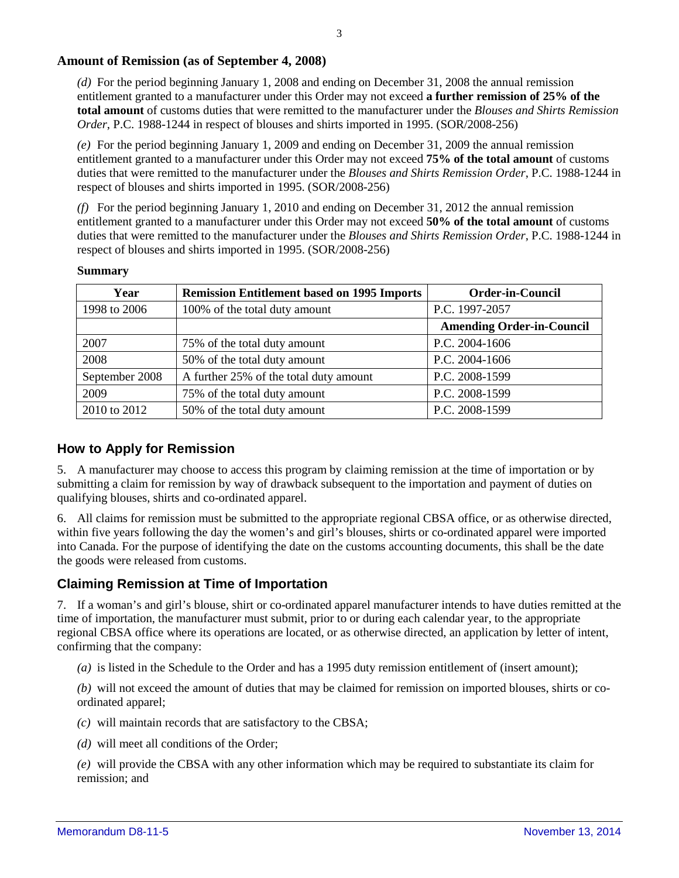#### **Amount of Remission (as of September 4, 2008)**

*(d)* For the period beginning January 1, 2008 and ending on December 31, 2008 the annual remission entitlement granted to a manufacturer under this Order may not exceed **a further remission of 25% of the total amount** of customs duties that were remitted to the manufacturer under the *Blouses and Shirts Remission Order*, P.C. 1988-1244 in respect of blouses and shirts imported in 1995. (SOR/2008-256)

*(e)* For the period beginning January 1, 2009 and ending on December 31, 2009 the annual remission entitlement granted to a manufacturer under this Order may not exceed **75% of the total amount** of customs duties that were remitted to the manufacturer under the *Blouses and Shirts Remission Order*, P.C. 1988-1244 in respect of blouses and shirts imported in 1995. (SOR/2008-256)

*(f)* For the period beginning January 1, 2010 and ending on December 31, 2012 the annual remission entitlement granted to a manufacturer under this Order may not exceed **50% of the total amount** of customs duties that were remitted to the manufacturer under the *Blouses and Shirts Remission Order*, P.C. 1988-1244 in respect of blouses and shirts imported in 1995. (SOR/2008-256)

| Year           | <b>Remission Entitlement based on 1995 Imports</b> | <b>Order-in-Council</b>          |
|----------------|----------------------------------------------------|----------------------------------|
| 1998 to 2006   | 100% of the total duty amount                      | P.C. 1997-2057                   |
|                |                                                    | <b>Amending Order-in-Council</b> |
| 2007           | 75% of the total duty amount                       | P.C. 2004-1606                   |
| 2008           | 50% of the total duty amount                       | P.C. 2004-1606                   |
| September 2008 | A further 25% of the total duty amount             | P.C. 2008-1599                   |
| 2009           | 75% of the total duty amount                       | P.C. 2008-1599                   |
| 2010 to 2012   | 50% of the total duty amount                       | P.C. 2008-1599                   |

**Summary**

#### **How to Apply for Remission**

5. A manufacturer may choose to access this program by claiming remission at the time of importation or by submitting a claim for remission by way of drawback subsequent to the importation and payment of duties on qualifying blouses, shirts and co-ordinated apparel.

6. All claims for remission must be submitted to the appropriate regional CBSA office, or as otherwise directed, within five years following the day the women's and girl's blouses, shirts or co-ordinated apparel were imported into Canada. For the purpose of identifying the date on the customs accounting documents, this shall be the date the goods were released from customs.

#### **Claiming Remission at Time of Importation**

7. If a woman's and girl's blouse, shirt or co-ordinated apparel manufacturer intends to have duties remitted at the time of importation, the manufacturer must submit, prior to or during each calendar year, to the appropriate regional CBSA office where its operations are located, or as otherwise directed, an application by letter of intent, confirming that the company:

*(a)* is listed in the Schedule to the Order and has a 1995 duty remission entitlement of (insert amount);

*(b)* will not exceed the amount of duties that may be claimed for remission on imported blouses, shirts or coordinated apparel;

- *(c)* will maintain records that are satisfactory to the CBSA;
- *(d)* will meet all conditions of the Order;

*(e)* will provide the CBSA with any other information which may be required to substantiate its claim for remission; and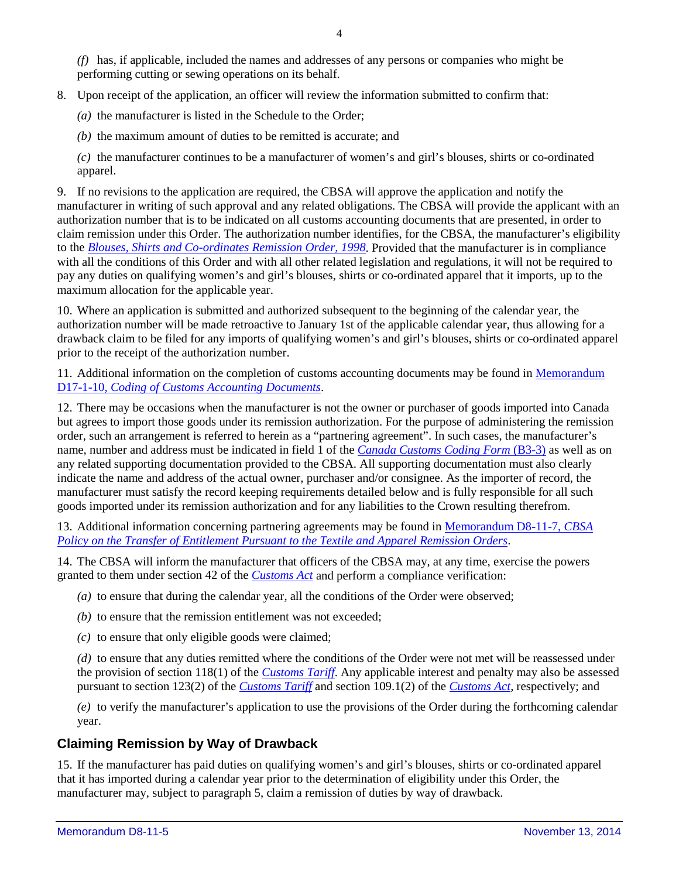*(f)* has, if applicable, included the names and addresses of any persons or companies who might be performing cutting or sewing operations on its behalf.

8. Upon receipt of the application, an officer will review the information submitted to confirm that:

*(a)* the manufacturer is listed in the Schedule to the Order;

*(b)* the maximum amount of duties to be remitted is accurate; and

*(c)* the manufacturer continues to be a manufacturer of women's and girl's blouses, shirts or co-ordinated apparel.

9. If no revisions to the application are required, the CBSA will approve the application and notify the manufacturer in writing of such approval and any related obligations. The CBSA will provide the applicant with an authorization number that is to be indicated on all customs accounting documents that are presented, in order to claim remission under this Order. The authorization number identifies, for the CBSA, the manufacturer's eligibility to the *[Blouses, Shirts and Co-ordinates Remission Order, 1998](http://laws-lois.justice.gc.ca/eng/regulations/SOR-98-89/FullText.html)*. Provided that the manufacturer is in compliance with all the conditions of this Order and with all other related legislation and regulations, it will not be required to pay any duties on qualifying women's and girl's blouses, shirts or co-ordinated apparel that it imports, up to the maximum allocation for the applicable year.

10. Where an application is submitted and authorized subsequent to the beginning of the calendar year, the authorization number will be made retroactive to January 1st of the applicable calendar year, thus allowing for a drawback claim to be filed for any imports of qualifying women's and girl's blouses, shirts or co-ordinated apparel prior to the receipt of the authorization number.

11. Additional information on the completion of customs accounting documents may be found in [Memorandum](http://www.cbsa.gc.ca/publications/dm-md/d17/d17-1-10-eng.html)  D17-1-10, *[Coding of Customs Accounting Documents](http://www.cbsa.gc.ca/publications/dm-md/d17/d17-1-10-eng.html)*.

12. There may be occasions when the manufacturer is not the owner or purchaser of goods imported into Canada but agrees to import those goods under its remission authorization. For the purpose of administering the remission order, such an arrangement is referred to herein as a "partnering agreement". In such cases, the manufacturer's name, number and address must be indicated in field 1 of the *[Canada Customs Coding Form](http://www.cbsa-asfc.gc.ca/publications/forms-formulaires/b3-3-eng.html)* (B3-3) as well as on any related supporting documentation provided to the CBSA. All supporting documentation must also clearly indicate the name and address of the actual owner, purchaser and/or consignee. As the importer of record, the manufacturer must satisfy the record keeping requirements detailed below and is fully responsible for all such goods imported under its remission authorization and for any liabilities to the Crown resulting therefrom.

13. Additional information concerning partnering agreements may be found in [Memorandum D8-11-7,](http://www.cbsa.gc.ca/publications/dm-md/d8/d8-11-7-eng.html) *CBSA [Policy on the Transfer of Entitlement Pursuant to the Textile and Apparel Remission Orders](http://www.cbsa.gc.ca/publications/dm-md/d8/d8-11-7-eng.html)*.

14. The CBSA will inform the manufacturer that officers of the CBSA may, at any time, exercise the powers granted to them under section 42 of the *[Customs Act](http://laws-lois.justice.gc.ca/eng/acts/C-52.6/FullText.html)* and perform a compliance verification:

*(a)* to ensure that during the calendar year, all the conditions of the Order were observed;

*(b)* to ensure that the remission entitlement was not exceeded;

*(c)* to ensure that only eligible goods were claimed;

*(d)* to ensure that any duties remitted where the conditions of the Order were not met will be reassessed under the provision of section 118(1) of the *[Customs Tariff](http://www.cbsa-asfc.gc.ca/trade-commerce/tariff-tarif/)*. Any applicable interest and penalty may also be assessed pursuant to section 123(2) of the *[Customs Tariff](http://www.cbsa-asfc.gc.ca/trade-commerce/tariff-tarif/)* and section 109.1(2) of the *[Customs Act](http://laws-lois.justice.gc.ca/eng/acts/C-52.6/FullText.html)*, respectively; and

*(e)* to verify the manufacturer's application to use the provisions of the Order during the forthcoming calendar year.

# **Claiming Remission by Way of Drawback**

15. If the manufacturer has paid duties on qualifying women's and girl's blouses, shirts or co-ordinated apparel that it has imported during a calendar year prior to the determination of eligibility under this Order, the manufacturer may, subject to paragraph 5, claim a remission of duties by way of drawback.

4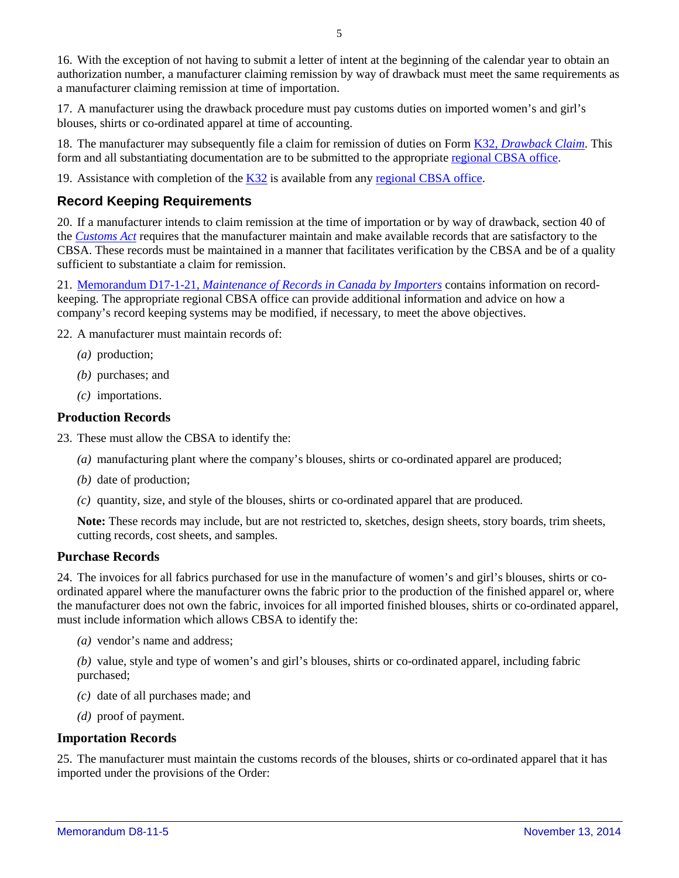16. With the exception of not having to submit a letter of intent at the beginning of the calendar year to obtain an authorization number, a manufacturer claiming remission by way of drawback must meet the same requirements as a manufacturer claiming remission at time of importation.

17. A manufacturer using the drawback procedure must pay customs duties on imported women's and girl's blouses, shirts or co-ordinated apparel at time of accounting.

18. The manufacturer may subsequently file a claim for remission of duties on Form K32, *[Drawback Claim](http://www.cbsa-asfc.gc.ca/publications/forms-formulaires/k32-eng.html)*. This form and all substantiating documentation are to be submitted to the appropriate [regional CBSA office.](http://www.cbsa-asfc.gc.ca/do-rb/menu-eng.html)

19. Assistance with completion of the [K32](http://www.cbsa-asfc.gc.ca/publications/forms-formulaires/k32-eng.html) is available from any [regional CBSA office.](http://www.cbsa-asfc.gc.ca/do-rb/menu-eng.html)

# **Record Keeping Requirements**

20. If a manufacturer intends to claim remission at the time of importation or by way of drawback, section 40 of the *[Customs Act](http://laws-lois.justice.gc.ca/eng/acts/C-52.6/FullText.html)* requires that the manufacturer maintain and make available records that are satisfactory to the CBSA. These records must be maintained in a manner that facilitates verification by the CBSA and be of a quality sufficient to substantiate a claim for remission.

21. Memorandum D17-1-21, *[Maintenance of Records in Canada by Importers](http://www.cbsa.gc.ca/publications/dm-md/d17/d17-1-21-eng.html)* contains information on recordkeeping. The appropriate regional CBSA office can provide additional information and advice on how a company's record keeping systems may be modified, if necessary, to meet the above objectives.

22. A manufacturer must maintain records of:

- *(a)* production;
- *(b)* purchases; and
- *(c)* importations.

#### **Production Records**

- 23. These must allow the CBSA to identify the:
	- *(a)* manufacturing plant where the company's blouses, shirts or co-ordinated apparel are produced;
	- *(b)* date of production;
	- *(c)* quantity, size, and style of the blouses, shirts or co-ordinated apparel that are produced.

**Note:** These records may include, but are not restricted to, sketches, design sheets, story boards, trim sheets, cutting records, cost sheets, and samples.

#### **Purchase Records**

24. The invoices for all fabrics purchased for use in the manufacture of women's and girl's blouses, shirts or coordinated apparel where the manufacturer owns the fabric prior to the production of the finished apparel or, where the manufacturer does not own the fabric, invoices for all imported finished blouses, shirts or co-ordinated apparel, must include information which allows CBSA to identify the:

*(a)* vendor's name and address;

*(b)* value, style and type of women's and girl's blouses, shirts or co-ordinated apparel, including fabric purchased;

- *(c)* date of all purchases made; and
- *(d)* proof of payment.

#### **Importation Records**

25. The manufacturer must maintain the customs records of the blouses, shirts or co-ordinated apparel that it has imported under the provisions of the Order: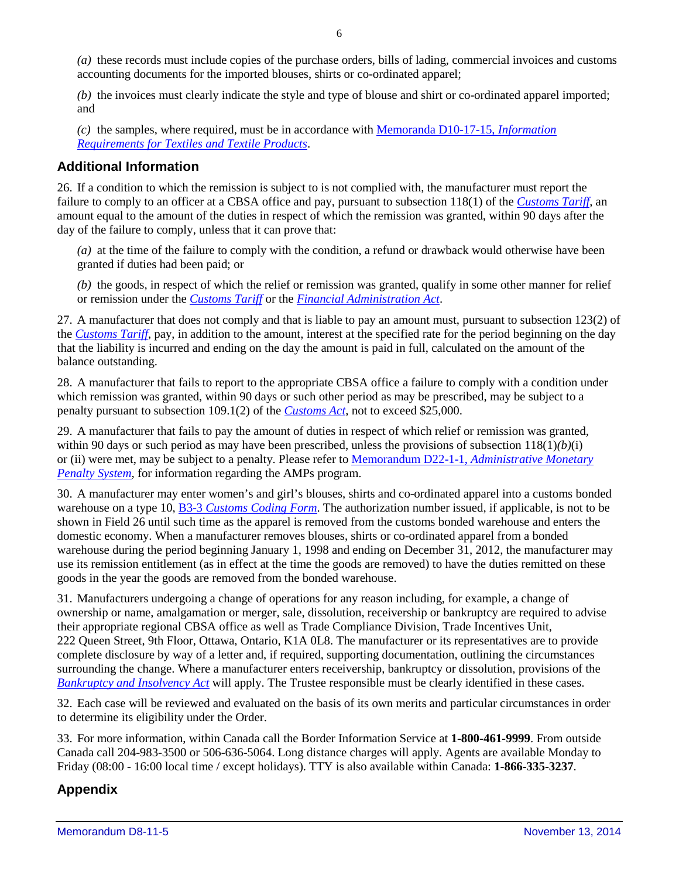*(a)* these records must include copies of the purchase orders, bills of lading, commercial invoices and customs accounting documents for the imported blouses, shirts or co-ordinated apparel;

*(b)* the invoices must clearly indicate the style and type of blouse and shirt or co-ordinated apparel imported; and

*(c)* the samples, where required, must be in accordance with [Memoranda D10-17-15,](http://www.cbsa.gc.ca/publications/dm-md/d10/d10-17-15-eng.html) *Information [Requirements for Textiles and Textile](http://www.cbsa.gc.ca/publications/dm-md/d10/d10-17-15-eng.html) Products*.

### **Additional Information**

26. If a condition to which the remission is subject to is not complied with, the manufacturer must report the failure to comply to an officer at a CBSA office and pay, pursuant to subsection 118(1) of the *[Customs Tariff](http://www.cbsa-asfc.gc.ca/trade-commerce/tariff-tarif/)*, an amount equal to the amount of the duties in respect of which the remission was granted, within 90 days after the day of the failure to comply, unless that it can prove that:

*(a)* at the time of the failure to comply with the condition, a refund or drawback would otherwise have been granted if duties had been paid; or

*(b)* the goods, in respect of which the relief or remission was granted, qualify in some other manner for relief or remission under the *[Customs Tariff](http://www.cbsa-asfc.gc.ca/trade-commerce/tariff-tarif/)* or the *[Financial Administration Act](http://laws-lois.justice.gc.ca/eng/acts/f-11/FullText.html)*.

27. A manufacturer that does not comply and that is liable to pay an amount must, pursuant to subsection 123(2) of the *[Customs Tariff](http://www.cbsa-asfc.gc.ca/trade-commerce/tariff-tarif/)*, pay, in addition to the amount, interest at the specified rate for the period beginning on the day that the liability is incurred and ending on the day the amount is paid in full, calculated on the amount of the balance outstanding.

28. A manufacturer that fails to report to the appropriate CBSA office a failure to comply with a condition under which remission was granted, within 90 days or such other period as may be prescribed, may be subject to a penalty pursuant to subsection 109.1(2) of the *[Customs Act](http://laws-lois.justice.gc.ca/eng/acts/C-52.6/FullText.html)*, not to exceed \$25,000.

29. A manufacturer that fails to pay the amount of duties in respect of which relief or remission was granted, within 90 days or such period as may have been prescribed, unless the provisions of subsection 118(1)*(b)*(i) or (ii) were met, may be subject to a penalty. Please refer to Memorandum D22-1-1, *[Administrative Monetary](http://www.cbsa.gc.ca/publications/dm-md/d22/d22-1-1-eng.html)  [Penalty System](http://www.cbsa.gc.ca/publications/dm-md/d22/d22-1-1-eng.html)*, for information regarding the AMPs program.

30. A manufacturer may enter women's and girl's blouses, shirts and co-ordinated apparel into a customs bonded warehouse on a type 10, B3-3 *[Customs Coding Form](http://www.cbsa-asfc.gc.ca/publications/forms-formulaires/b3-3-eng.html)*. The authorization number issued, if applicable, is not to be shown in Field 26 until such time as the apparel is removed from the customs bonded warehouse and enters the domestic economy. When a manufacturer removes blouses, shirts or co-ordinated apparel from a bonded warehouse during the period beginning January 1, 1998 and ending on December 31, 2012, the manufacturer may use its remission entitlement (as in effect at the time the goods are removed) to have the duties remitted on these goods in the year the goods are removed from the bonded warehouse.

31. Manufacturers undergoing a change of operations for any reason including, for example, a change of ownership or name, amalgamation or merger, sale, dissolution, receivership or bankruptcy are required to advise their appropriate regional CBSA office as well as Trade Compliance Division, Trade Incentives Unit, 222 Queen Street, 9th Floor, Ottawa, Ontario, K1A 0L8. The manufacturer or its representatives are to provide complete disclosure by way of a letter and, if required, supporting documentation, outlining the circumstances surrounding the change. Where a manufacturer enters receivership, bankruptcy or dissolution, provisions of the *[Bankruptcy and Insolvency Act](http://laws-lois.justice.gc.ca/eng/acts/b-3/FullText.html)* will apply. The Trustee responsible must be clearly identified in these cases.

32. Each case will be reviewed and evaluated on the basis of its own merits and particular circumstances in order to determine its eligibility under the Order.

33. For more information, within Canada call the Border Information Service at **1-800-461-9999**. From outside Canada call 204-983-3500 or 506-636-5064. Long distance charges will apply. Agents are available Monday to Friday (08:00 - 16:00 local time / except holidays). TTY is also available within Canada: **1-866-335-3237**.

# **Appendix**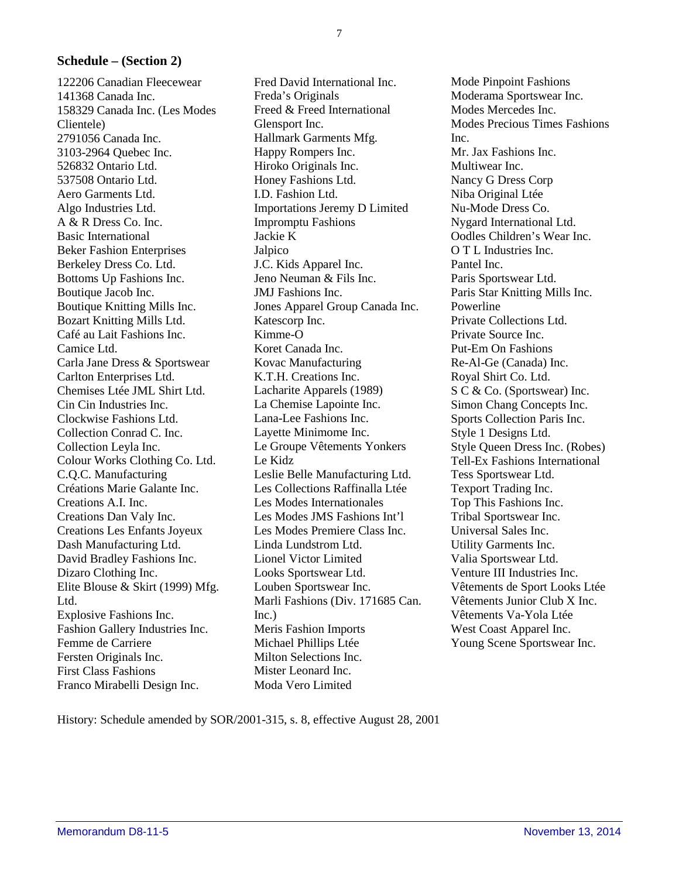# **Schedule – (Section 2)**

122206 Canadian Fleecewear 141368 Canada Inc. 158329 Canada Inc. (Les Modes Clientele) 2791056 Canada Inc. 3103-2964 Quebec Inc. 526832 Ontario Ltd. 537508 Ontario Ltd. Aero Garments Ltd. Algo Industries Ltd. A & R Dress Co. Inc. Basic International Beker Fashion Enterprises Berkeley Dress Co. Ltd. Bottoms Up Fashions Inc. Boutique Jacob Inc. Boutique Knitting Mills Inc. Bozart Knitting Mills Ltd. Café au Lait Fashions Inc. Camice Ltd. Carla Jane Dress & Sportswear Carlton Enterprises Ltd. Chemises Ltée JML Shirt Ltd. Cin Cin Industries Inc. Clockwise Fashions Ltd. Collection Conrad C. Inc. Collection Leyla Inc. Colour Works Clothing Co. Ltd. C.Q.C. Manufacturing Créations Marie Galante Inc. Creations A.I. Inc. Creations Dan Valy Inc. Creations Les Enfants Joyeux Dash Manufacturing Ltd. David Bradley Fashions Inc. Dizaro Clothing Inc. Elite Blouse & Skirt (1999) Mfg. Ltd. Explosive Fashions Inc. Fashion Gallery Industries Inc. Femme de Carriere Fersten Originals Inc. First Class Fashions Franco Mirabelli Design Inc.

Fred David International Inc. Freda's Originals Freed & Freed International Glensport Inc. Hallmark Garments Mfg. Happy Rompers Inc. Hiroko Originals Inc. Honey Fashions Ltd. I.D. Fashion Ltd. Importations Jeremy D Limited Impromptu Fashions Jackie K Jalpico J.C. Kids Apparel Inc. Jeno Neuman & Fils Inc. JMJ Fashions Inc. Jones Apparel Group Canada Inc. Katescorp Inc. Kimme-O Koret Canada Inc. Kovac Manufacturing K.T.H. Creations Inc. Lacharite Apparels (1989) La Chemise Lapointe Inc. Lana-Lee Fashions Inc. Layette Minimome Inc. Le Groupe Vêtements Yonkers Le Kidz Leslie Belle Manufacturing Ltd. Les Collections Raffinalla Ltée Les Modes Internationales Les Modes JMS Fashions Int'l Les Modes Premiere Class Inc. Linda Lundstrom Ltd. Lionel Victor Limited Looks Sportswear Ltd. Louben Sportswear Inc. Marli Fashions (Div. 171685 Can. Inc.) Meris Fashion Imports Michael Phillips Ltée Milton Selections Inc. Mister Leonard Inc. Moda Vero Limited

Mode Pinpoint Fashions Moderama Sportswear Inc. Modes Mercedes Inc. Modes Precious Times Fashions  $Inc$ Mr. Jax Fashions Inc. Multiwear Inc. Nancy G Dress Corp Niba Original Ltée Nu-Mode Dress Co. Nygard International Ltd. Oodles Children's Wear Inc. O T L Industries Inc. Pantel Inc. Paris Sportswear Ltd. Paris Star Knitting Mills Inc. Powerline Private Collections Ltd. Private Source Inc. Put-Em On Fashions Re-Al-Ge (Canada) Inc. Royal Shirt Co. Ltd. S C & Co. (Sportswear) Inc. Simon Chang Concepts Inc. Sports Collection Paris Inc. Style 1 Designs Ltd. Style Queen Dress Inc. (Robes) Tell-Ex Fashions International Tess Sportswear Ltd. Texport Trading Inc. Top This Fashions Inc. Tribal Sportswear Inc. Universal Sales Inc. Utility Garments Inc. Valia Sportswear Ltd. Venture III Industries Inc. Vêtements de Sport Looks Ltée Vêtements Junior Club X Inc. Vêtements Va-Yola Ltée West Coast Apparel Inc. Young Scene Sportswear Inc.

History: Schedule amended by SOR/2001-315, s. 8, effective August 28, 2001